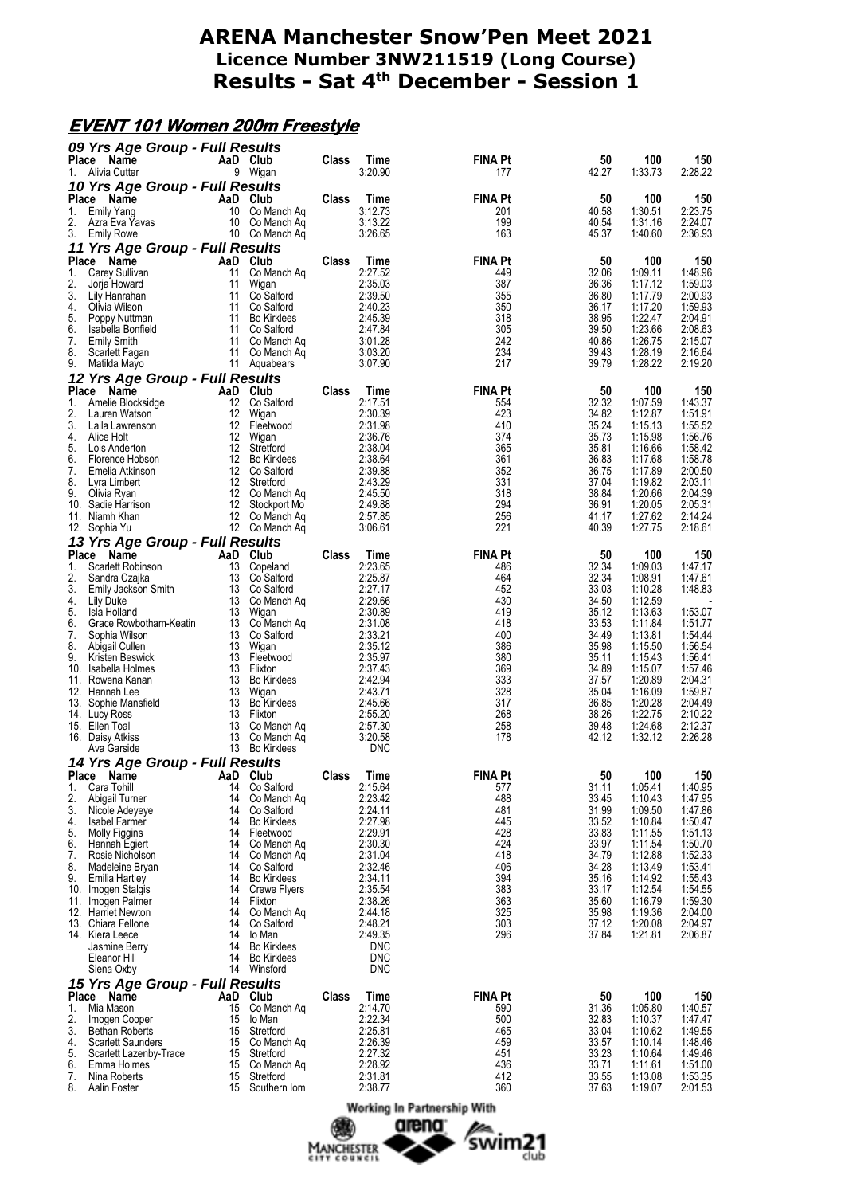#### **EVENT 101 Women 200m Freestyle**

|             | 09 Yrs Age Group - Full Results                    |          |                                     |       |                       |                       |                |                    |                    |
|-------------|----------------------------------------------------|----------|-------------------------------------|-------|-----------------------|-----------------------|----------------|--------------------|--------------------|
| Place<br>1. | Name<br>Alivia Cutter                              |          | AaD Club<br>9 Wigan                 | Class | Time<br>3:20.90       | <b>FINA Pt</b><br>177 | 50<br>42.27    | 100<br>1:33.73     | 150<br>2:28.22     |
|             | 10 Yrs Age Group - Full Results                    |          |                                     |       |                       |                       |                |                    |                    |
| 1.          | Place Name<br><b>Emily Yang</b>                    |          | AaD Club<br>10 Co Manch Ag          | Class | Time<br>3:12.73       | <b>FINA Pt</b><br>201 | 50<br>40.58    | 100<br>1:30.51     | 150<br>2:23.75     |
| 2.          | Azra Eva Yavas                                     |          | 10 Co Manch Aq                      |       | 3:13.22               | 199                   | 40.54          | 1:31.16            | 2:24.07            |
| 3.          | <b>Emily Rowe</b>                                  |          | 10 Co Manch Ag                      |       | 3:26.65               | 163                   | 45.37          | 1:40.60            | 2:36.93            |
|             | 11 Yrs Age Group - Full Results<br>Place Name      |          | AaD Club                            | Class | Time                  | <b>FINA Pt</b>        | 50             | 100                | 150                |
| 1.          | Carey Sullivan                                     | 11       | Co Manch Aq                         |       | 2:27.52               | 449                   | 32.06          | 1:09.11            | 1:48.96            |
| 2.<br>3.    | Jorja Howard<br>Lily Hanrahan                      | 11<br>11 | Wigan<br>Co Salford                 |       | 2:35.03<br>2:39.50    | 387<br>355            | 36.36<br>36.80 | 1:17.12<br>1:17.79 | 1:59.03<br>2:00.93 |
| 4.          | Olivia Wilson                                      | 11       | Co Salford                          |       | 2:40.23               | 350                   | 36.17          | 1:17.20            | 1:59.93            |
| 5.<br>6.    | Poppy Nuttman<br>Isabella Bonfield                 | 11       | 11 Bo Kirklees<br>Co Salford        |       | 2:45.39<br>2:47.84    | 318<br>305            | 38.95<br>39.50 | 1:22.47<br>1:23.66 | 2:04.91<br>2:08.63 |
| 7.<br>8.    | <b>Emily Smith</b>                                 | 11       | Co Manch Aq<br>11 Co Manch Aq       |       | 3:01.28               | 242<br>234            | 40.86          | 1:26.75<br>1:28.19 | 2:15.07<br>2:16.64 |
| 9.          | Scarlett Fagan<br>Matilda Mayo                     |          | 11 Aquabears                        |       | 3:03.20<br>3:07.90    | 217                   | 39.43<br>39.79 | 1:28.22            | 2:19.20            |
|             | 12 Yrs Age Group - Full Results                    |          |                                     |       |                       |                       |                |                    |                    |
| 1.          | Place Name<br>Amelie Blocksidge                    | 12       | AaD Club<br>Co Salford              | Class | Time<br>2:17.51       | <b>FINA Pt</b><br>554 | 50<br>32.32    | 100<br>1:07.59     | 150<br>1:43.37     |
| 2.          | Lauren Watson                                      |          | 12 Wigan                            |       | 2:30.39               | 423                   | 34.82          | 1:12.87            | 1:51.91            |
| 3.<br>4.    | Laila Lawrenson<br>Alice Holt                      | 12<br>12 | Fleetwood<br>Wigan                  |       | 2:31.98<br>2:36.76    | 410<br>374            | 35.24<br>35.73 | 1:15.13<br>1:15.98 | 1:55.52<br>1:56.76 |
| 5.          | Lois Anderton                                      | 12       | Stretford                           |       | 2:38.04               | 365                   | 35.81          | 1:16.66            | 1:58.42            |
| 6.<br>7.    | Florence Hobson<br>Emelia Atkinson                 | 12       | <b>Bo Kirklees</b><br>12 Co Salford |       | 2:38.64<br>2:39.88    | 361<br>352            | 36.83<br>36.75 | 1:17.68<br>1:17.89 | 1:58.78<br>2:00.50 |
| 8.          | Lyra Limbert                                       | 12       | Stretford                           |       | 2:43.29               | 331                   | 37.04          | 1:19.82            | 2:03.11            |
| 9.          | Olivia Ryan<br>10. Sadie Harrison                  |          | 12 Co Manch Ag<br>12 Stockport Mo   |       | 2:45.50<br>2:49.88    | 318<br>294            | 38.84<br>36.91 | 1:20.66<br>1:20.05 | 2:04.39<br>2:05.31 |
|             | 11. Niamh Khan                                     |          | 12 Co Manch Aq<br>12 Co Manch Aq    |       | 2:57.85<br>3:06.61    | 256<br>221            | 41.17<br>40.39 | 1:27.62<br>1:27.75 | 2:14.24<br>2:18.61 |
|             | 12. Sophia Yu<br>13 Yrs Age Group - Full Results   |          |                                     |       |                       |                       |                |                    |                    |
| Place       | Name                                               |          | AaD Club                            | Class | Time                  | <b>FINA Pt</b>        | 50             | 100                | 150                |
| 1.<br>2.    | Scarlett Robinson<br>Sandra Czajka                 | 13       | Copeland<br>13 Co Salford           |       | 2:23.65<br>2:25.87    | 486<br>464            | 32.34<br>32.34 | 1:09.03<br>1:08.91 | 1:47.17<br>1:47.61 |
| 3.          | Emily Jackson Smith                                | 13       | Co Salford                          |       | 2:27.17               | 452                   | 33.03          | 1:10.28            | 1:48.83            |
| 4.<br>5.    | Lily Duke<br>Isla Holland                          |          | 13 Co Manch Aq<br>13 Wigan          |       | 2:29.66<br>2:30.89    | 430<br>419            | 34.50<br>35.12 | 1:12.59<br>1:13.63 | 1:53.07            |
| 6.          | Grace Rowbotham-Keatin                             |          | 13 Co Manch Ag                      |       | 2:31.08               | 418                   | 33.53          | 1:11.84            | 1:51.77            |
| 7.<br>8.    | Sophia Wilson<br>Abigail Cullen                    | 13<br>13 | Co Salford<br>Wigan                 |       | 2:33.21<br>2:35.12    | 400<br>386            | 34.49<br>35.98 | 1:13.81<br>1:15.50 | 1:54.44<br>1:56.54 |
| 9.          | Kristen Beswick                                    | 13<br>13 | Fleetwood                           |       | 2:35.97<br>2:37.43    | 380<br>369            | 35.11          | 1:15.43            | 1:56.41<br>1:57.46 |
|             | 10. Isabella Holmes<br>11. Rowena Kanan            | 13       | Flixton<br><b>Bo Kirklees</b>       |       | 2:42.94               | 333                   | 34.89<br>37.57 | 1:15.07<br>1:20.89 | 2:04.31            |
|             | 12. Hannah Lee<br>13. Sophie Mansfield             | 13<br>13 | Wigan<br><b>Bo Kirklees</b>         |       | 2:43.71<br>2:45.66    | 328<br>317            | 35.04<br>36.85 | 1:16.09<br>1:20.28 | 1:59.87<br>2:04.49 |
|             | 14. Lucy Ross                                      |          | 13 Flixton                          |       | 2:55.20               | 268                   | 38.26          | 1:22.75            | 2:10.22            |
|             | 15. Ellen Toal<br>16. Daisy Atkiss                 | 13       | Co Manch Aq<br>13 Co Manch Aq       |       | 2:57.30<br>3:20.58    | 258<br>178            | 39.48<br>42.12 | 1:24.68<br>1:32.12 | 2:12.37<br>2:26.28 |
|             | Ava Garside                                        |          | 13 Bo Kirklees                      |       | <b>DNC</b>            |                       |                |                    |                    |
|             | 14 Yrs Age Group - Full Results<br>Place Name      | AaD      | Club                                | Class | <b>Time</b>           | <b>FINA Pt</b>        | 50             | 100                | 150                |
| 1.          | Cara Tohill                                        | 14       | Co Salford                          |       | 2:15.64               | 577                   | 31.11          | 1:05.41            | 1:40.95            |
| 2.<br>3.    | Abigail Turner<br>Nicole Adeyeye                   | 14<br>14 | Co Manch Aq<br>Co Salford           |       | 2:23.42<br>2:24.11    | 488<br>481            | 33.45<br>31.99 | 1:10.43<br>1:09.50 | 1:47.95<br>1:47.86 |
| 4.          | <b>Isabel Farmer</b>                               | 14       | <b>Bo Kirklees</b>                  |       | 2:27.98               | 445                   | 33.52          | 1:10.84            | 1:50.47            |
| 5.<br>6.    | Molly Figgins<br>Hannah Egiert                     | 14<br>14 | Fleetwood<br>Co Manch Ag            |       | 2:29.91<br>2:30.30    | 428<br>424            | 33.83<br>33.97 | 1:11.55<br>1:11.54 | 1:51.13<br>1:50.70 |
| 7.          | Rosie Nicholson                                    | 14       | Co Manch Aq                         |       | 2:31.04               | 418                   | 34.79          | 1:12.88            | 1:52.33            |
| 8.<br>9.    | Madeleine Bryan<br>Emilia Hartley                  | 14<br>14 | Co Salford<br><b>Bo Kirklees</b>    |       | 2:32.46<br>2:34.11    | 406<br>394            | 34.28<br>35.16 | 1:13.49<br>1:14.92 | 1:53.41<br>1:55.43 |
|             | 10. Imogen Stalgis                                 | 14       | <b>Crewe Flyers</b>                 |       | 2:35.54               | 383                   | 33.17          | 1:12.54            | 1:54.55            |
|             | 11. Imogen Palmer<br>12. Harriet Newton            | 14<br>14 | Flixton<br>Co Manch Ag              |       | 2:38.26<br>2:44.18    | 363<br>325            | 35.60<br>35.98 | 1:16.79<br>1:19.36 | 1:59.30<br>2:04.00 |
|             | 13. Chiara Fellone                                 | 14       | Co Salford                          |       | 2:48.21               | 303                   | 37.12          | 1:20.08            | 2:04.97            |
|             | 14. Kiera Leece<br>Jasmine Berry                   | 14<br>14 | lo Man<br><b>Bo Kirklees</b>        |       | 2:49.35<br><b>DNC</b> | 296                   | 37.84          | 1:21.81            | 2:06.87            |
|             | Eleanor Hill                                       | 14       | <b>Bo Kirklees</b>                  |       | <b>DNC</b>            |                       |                |                    |                    |
|             | Siena Oxby<br>15 Yrs Age Group - Full Results      | 14       | Winsford                            |       | <b>DNC</b>            |                       |                |                    |                    |
|             | Place Name                                         | AaD      | Club                                | Class | Time                  | <b>FINA Pt</b>        | 50             | 100                | 150                |
| 1.<br>2.    | Mia Mason<br>Imogen Cooper                         | 15<br>15 | Co Manch Ag<br>lo Man               |       | 2:14.70<br>2:22.34    | 590<br>500            | 31.36<br>32.83 | 1:05.80<br>1:10.37 | 1:40.57<br>1:47.47 |
| 3.          | <b>Bethan Roberts</b>                              | 15       | Stretford                           |       | 2:25.81               | 465                   | 33.04          | 1:10.62            | 1:49.55            |
| 4.<br>5.    | <b>Scarlett Saunders</b><br>Scarlett Lazenby-Trace | 15<br>15 | Co Manch Aq<br>Stretford            |       | 2:26.39<br>2:27.32    | 459<br>451            | 33.57<br>33.23 | 1:10.14<br>1:10.64 | 1:48.46<br>1:49.46 |
| 6.<br>7.    | Emma Holmes<br>Nina Roberts                        | 15<br>15 | Co Manch Ag<br>Stretford            |       | 2:28.92<br>2:31.81    | 436<br>412            | 33.71<br>33.55 | 1:11.61<br>1:13.08 | 1:51.00<br>1:53.35 |
| 8.          | Aalin Foster                                       | 15       | Southern Iom                        |       | 2:38.77               | 360                   | 37.63          | 1:19.07            | 2:01.53            |
|             |                                                    |          |                                     |       |                       |                       |                |                    |                    |

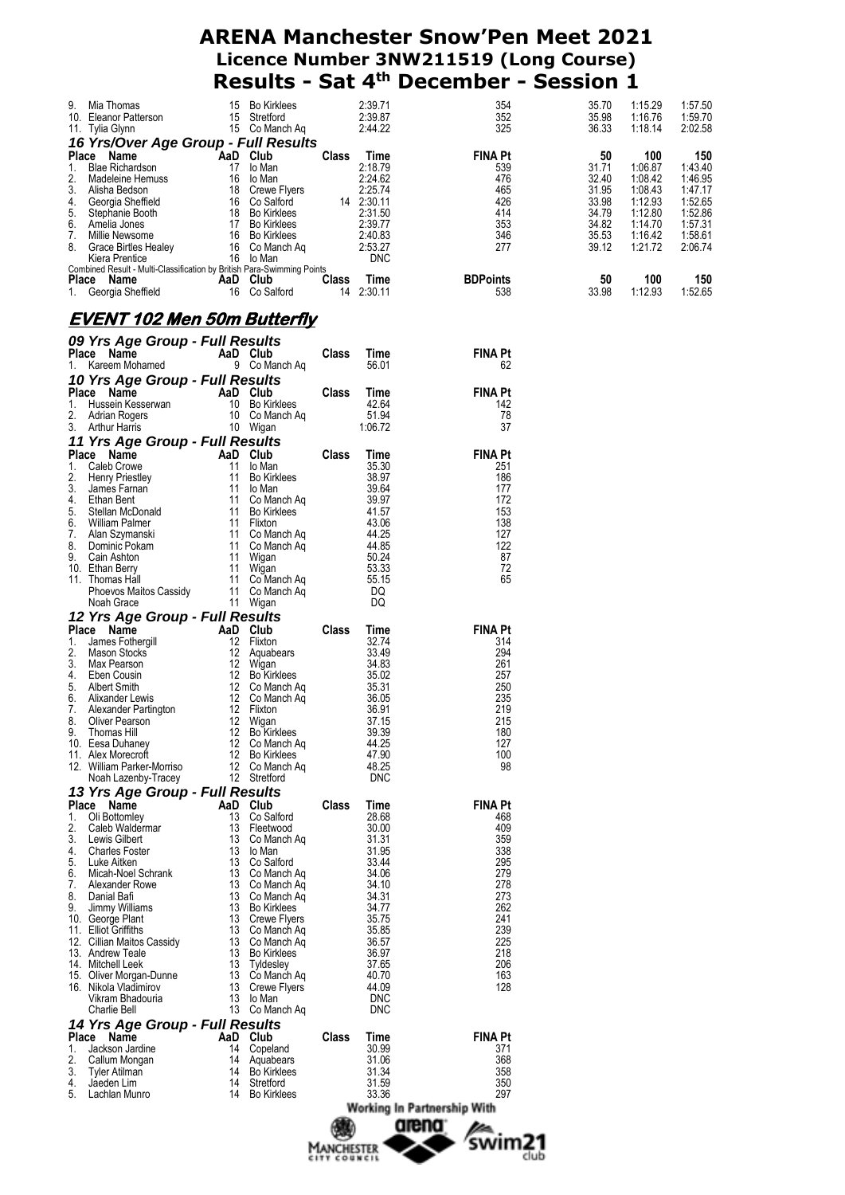|                                                                                      |                 |                                   | Manchester<br>сітт социсіі |                       | swim21                      | club           |                    |                    |
|--------------------------------------------------------------------------------------|-----------------|-----------------------------------|----------------------------|-----------------------|-----------------------------|----------------|--------------------|--------------------|
|                                                                                      |                 |                                   |                            |                       | arena                       |                |                    |                    |
|                                                                                      |                 |                                   |                            |                       | Working In Partnership With |                |                    |                    |
| 5.<br>Lachlan Munro                                                                  | 14              | <b>Bo Kirklees</b>                |                            | 33.36                 | 297                         |                |                    |                    |
| 4.<br>Jaeden Lim                                                                     |                 | 14 Stretford                      |                            | 31.59                 | 350                         |                |                    |                    |
| 2.<br>Callum Mongan<br>3.<br>Tyler Atilman                                           |                 | 14 Aquabears<br>14 Bo Kirklees    |                            | 31.06<br>31.34        | 368<br>358                  |                |                    |                    |
| 1.<br>Jackson Jardine                                                                |                 | 14 Copeland                       |                            | 30.99                 | 371                         |                |                    |                    |
| 14 Yrs Age Group - Full Results<br>Place Name                                        |                 | AaD Club                          | Class                      | Time                  | <b>FINA Pt</b>              |                |                    |                    |
| Charlie Bell                                                                         |                 | 13 Co Manch Aq                    |                            | <b>DNC</b>            |                             |                |                    |                    |
| Vikram Bhadouria                                                                     | 13              | lo Man                            |                            | <b>DNC</b>            |                             |                |                    |                    |
| 15. Oliver Morgan-Dunne<br>16. Nikola Vladimirov                                     |                 | 13 Co Manch Aq<br>13 Crewe Flyers |                            | 40.70<br>44.09        | 163<br>128                  |                |                    |                    |
| 14. Mitchell Leek                                                                    |                 | 13 Tyldesley                      |                            | 37.65                 | 206                         |                |                    |                    |
| 12. Cillian Maitos Cassidy<br>13. Andrew Teale                                       |                 | 13 Co Manch Aq<br>13 Bo Kirklees  |                            | 36.57<br>36.97        | 225<br>218                  |                |                    |                    |
| 11. Elliot Griffiths                                                                 |                 | 13 Co Manch Aq                    |                            | 35.85                 | 239                         |                |                    |                    |
| 9.<br>Jimmy Williams<br>10. George Plant                                             |                 | 13 Bo Kirklees<br>13 Crewe Flyers |                            | 34.77<br>35.75        | 262<br>241                  |                |                    |                    |
| 8.<br>Danial Bafi                                                                    |                 | 13 Co Manch Aq                    |                            | 34.31                 | 273                         |                |                    |                    |
| 6.<br>Micah-Noel Schrank<br>7.<br>Alexander Rowe                                     |                 | 13 Co Manch Aq<br>13 Co Manch Ag  |                            | 34.06<br>34.10        | 279<br>278                  |                |                    |                    |
| 5.<br>Luke Aitken                                                                    |                 | 13 Co Salford                     |                            | 33.44                 | 295                         |                |                    |                    |
| <b>Charles Foster</b><br>4.                                                          |                 | 13 lo Man                         |                            | 31.95                 | 338                         |                |                    |                    |
| 2.<br>Caleb Waldermar<br>3.<br>Lewis Gilbert                                         | 13              | Fleetwood<br>13 Co Manch Ag       |                            | 30.00<br>31.31        | 409<br>359                  |                |                    |                    |
| Oli Bottomley<br>1.                                                                  |                 | 13 Co Salford                     |                            | 28.68                 | 468                         |                |                    |                    |
| Place Name                                                                           |                 | AaD Club                          | Class                      | Time                  | <b>FINA Pt</b>              |                |                    |                    |
| Noah Lazenby-Tracey<br>13 Yrs Age Group - Full Results                               |                 | 12 Stretford                      |                            | <b>DNC</b>            |                             |                |                    |                    |
| 12. William Parker-Morriso                                                           |                 | 12 Co Manch Aq                    |                            | 48.25                 | 98                          |                |                    |                    |
| 11. Alex Morecroft                                                                   | 12              | <b>Bo Kirklees</b>                |                            | 47.90                 | 100                         |                |                    |                    |
| <b>Thomas Hill</b><br>9.<br>10. Eesa Duhaney                                         |                 | 12 Bo Kirklees<br>12 Co Manch Aq  |                            | 39.39<br>44.25        | 180<br>127                  |                |                    |                    |
| 8.<br><b>Oliver Pearson</b>                                                          |                 | 12 Wigan                          |                            | 37.15                 | 215                         |                |                    |                    |
| 7.<br>Alexander Partington                                                           |                 | 12 Flixton                        |                            | 36.91                 | 219                         |                |                    |                    |
| 5.<br>Albert Smith<br>Alixander Lewis<br>6.                                          |                 | 12 Co Manch Aq<br>12 Co Manch Aq  |                            | 35.31<br>36.05        | 250<br>235                  |                |                    |                    |
| 4.<br>Eben Cousin                                                                    |                 | 12 Bo Kirklees                    |                            | 35.02                 | 257                         |                |                    |                    |
| 3.<br>Max Pearson                                                                    |                 | 12 Wigan                          |                            | 34.83                 | 261                         |                |                    |                    |
| 1.<br>James Fothergill<br>2.<br>Mason Stocks                                         |                 | 12 Flixton<br>12 Aquabears        |                            | 32.74<br>33.49        | 314<br>294                  |                |                    |                    |
| Place Name                                                                           |                 | AaD Club                          | <b>Class</b>               | Time                  | FINA Pt                     |                |                    |                    |
| 12 Yrs Age Group - Full Results                                                      |                 |                                   |                            |                       |                             |                |                    |                    |
| Phoevos Maitos Cassidy<br>Noah Grace                                                 |                 | 11 Co Manch Ag<br>11 Wigan        |                            | DQ<br>DQ              |                             |                |                    |                    |
| 11. Thomas Hall                                                                      |                 | 11 Co Manch Ag                    |                            | 55.15                 | 65                          |                |                    |                    |
| 10. Ethan Berry                                                                      |                 | 11 Wigan                          |                            | 53.33                 | 72                          |                |                    |                    |
| 8.<br>Dominic Pokam<br>9.<br>Cain Ashton                                             |                 | 11 Co Manch Ag<br>11 Wigan        |                            | 44.85<br>50.24        | 122<br>87                   |                |                    |                    |
| 7.<br>Alan Szymanski                                                                 |                 | 11 Co Manch Aq                    |                            | 44.25                 | 127                         |                |                    |                    |
| 6.<br>William Palmer                                                                 |                 | 11 Flixton                        |                            | 43.06                 | 138                         |                |                    |                    |
| 4.<br>Ethan Bent<br>5.<br>Stellan McDonald                                           |                 | 11 Co Manch Aq<br>11 Bo Kirklees  |                            | 39.97<br>41.57        | 172<br>153                  |                |                    |                    |
| 3.<br>James Farnan                                                                   | 11              | lo Man                            |                            | 39.64                 | 177                         |                |                    |                    |
| 1.<br>Caleb Crowe<br>2.<br><b>Henry Priestley</b>                                    | 11              | 11 lo Man<br>Bo Kirklees          |                            | 35.30<br>38.97        | 251<br>186                  |                |                    |                    |
| Place Name                                                                           |                 | AaD Club                          | Class                      | Time                  | <b>FINA Pt</b>              |                |                    |                    |
| 11 Yrs Age Group - Full Results                                                      |                 |                                   |                            |                       |                             |                |                    |                    |
| 3.<br><b>Arthur Harris</b>                                                           |                 | 10 Wigan                          |                            | 1:06.72               | 37                          |                |                    |                    |
| Hussein Kesserwan<br>1.<br>2.<br><b>Adrian Rogers</b>                                |                 | 10 Bo Kirklees<br>10 Co Manch Ag  |                            | 42.64<br>51.94        | 142<br>78                   |                |                    |                    |
| Place Name                                                                           |                 | AaD Club                          | <b>Class</b>               | Time                  | FINA Pt                     |                |                    |                    |
| 10 Yrs Age Group - Full Results                                                      |                 |                                   |                            |                       |                             |                |                    |                    |
| Place Name<br>1. Kareem Mohamed                                                      |                 | AaD Club<br>9 Co Manch Ag         | <b>Class</b>               | Time<br>56.01         | <b>FINA Pt</b><br>62        |                |                    |                    |
| 09 Yrs Age Group - Full Results                                                      |                 |                                   |                            |                       |                             |                |                    |                    |
| <u>EVENT 102 Men 50m Butterfly</u>                                                   |                 |                                   |                            |                       |                             |                |                    |                    |
|                                                                                      |                 |                                   |                            |                       |                             |                |                    |                    |
| 1. Georgia Sheffield                                                                 |                 | 16 Co Salford                     |                            | 14 2:30.11            | 538                         | 33.98          | 1:12.93            | 1:52.65            |
| Combined Result - Multi-Classification by British Para-Swimming Points<br>Place Name | <b>AaD</b> Club |                                   | <b>Class</b>               | Time                  | <b>BDPoints</b>             | 50             | 100                | 150                |
| Kiera Prentice                                                                       |                 | 16 lo Man                         |                            | <b>DNC</b>            |                             |                |                    |                    |
| 7.<br>Millie Newsome<br>8.<br>Grace Birtles Healey                                   |                 | 16 Bo Kirklees<br>16 Co Manch Ag  |                            | 2:40.83<br>2:53.27    | 346<br>277                  | 35.53<br>39.12 | 1:16.42<br>1:21.72 | 1:58.61<br>2:06.74 |
| 6.<br>Amelia Jones                                                                   |                 | 17 Bo Kirklees                    |                            | 2:39.77               | 353                         | 34.82          | 1:14.70            | 1:57.31            |
| 4.<br>Georgia Sheffield<br>5.<br>Stephanie Booth                                     |                 | 16 Co Salford<br>18 Bo Kirklees   |                            | 14 2:30.11<br>2:31.50 | 426<br>414                  | 33.98<br>34.79 | 1:12.93<br>1:12.80 | 1:52.65<br>1:52.86 |
| 3.<br>Alisha Bedson                                                                  |                 | 18 Crewe Flyers                   |                            | 2:25.74               | 465                         | 31.95          | 1:08.43            | 1:47.17            |
| <b>Blae Richardson</b><br>1.<br>2.<br>Madeleine Hemuss                               |                 | 17 lo Man<br>16 lo Man            |                            | 2:18.79<br>2:24.62    | 539<br>476                  | 31.71<br>32.40 | 1:06.87<br>1:08.42 | 1:43.40<br>1:46.95 |
| Place Name                                                                           |                 | AaD Club                          | <b>Class</b>               | Time                  | <b>FINA Pt</b>              | 50             | 100                | 150                |
| 16 Yrs/Over Age Group - Full Results                                                 |                 |                                   |                            |                       |                             |                |                    |                    |
| 10. Eleanor Patterson<br>11. Tylia Glynn                                             |                 | 15 Stretford<br>15 Co Manch Ag    |                            | 2:39.87<br>2:44.22    | 352<br>325                  | 35.98<br>36.33 | 1:16.76<br>1:18.14 | 1:59.70<br>2:02.58 |
| 9.<br>Mia Thomas                                                                     |                 | 15 Bo Kirklees                    |                            | 2:39.71               | 354                         | 35.70          | 1:15.29            | 1:57.50            |
|                                                                                      |                 |                                   |                            |                       |                             |                |                    |                    |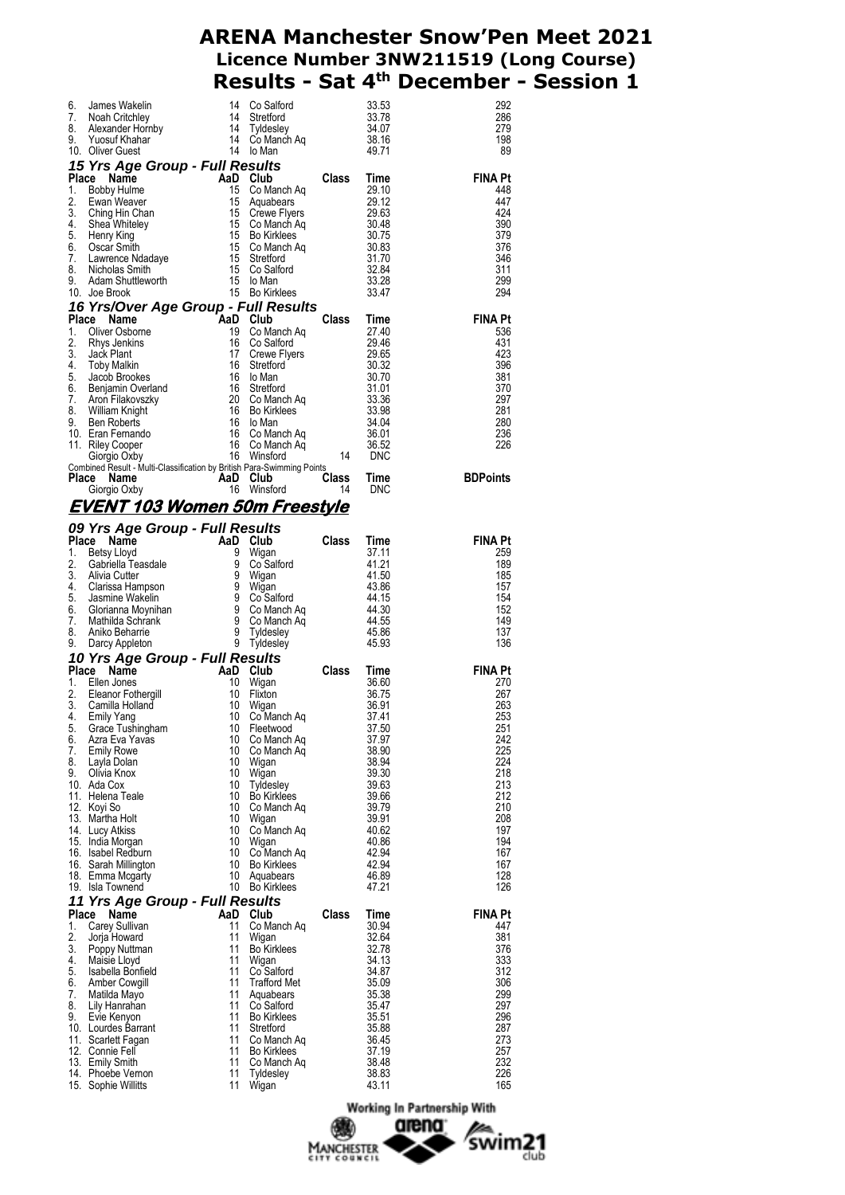| 6.<br>7.<br>8.<br>9. | James Wakelin<br>Noah Critchley<br>Alexander Homby<br>Yinsuf Khahar<br>10. Oliver Guest                                                                                                                                                                                                                  | 14<br>14<br>- 14 | Co Salford<br>Stretford<br>14 Strettord<br>14 Tyldesley<br>14 Co Manch Aq<br>14 Io Man                                                                                                                                                                                                   |                | 33.53<br>33.78<br>34.07<br>38.16<br>49.71 | 292<br>286<br>279<br>198<br>89 |
|----------------------|----------------------------------------------------------------------------------------------------------------------------------------------------------------------------------------------------------------------------------------------------------------------------------------------------------|------------------|------------------------------------------------------------------------------------------------------------------------------------------------------------------------------------------------------------------------------------------------------------------------------------------|----------------|-------------------------------------------|--------------------------------|
|                      | 15 Yrs Age Group - Full Results                                                                                                                                                                                                                                                                          |                  |                                                                                                                                                                                                                                                                                          |                |                                           |                                |
|                      | Place<br>Carl Mann Class<br>Name Carl Mann Class<br>Evan Weaver 15 Aquabears<br>Ching Hin Chan<br>Shea Whiteley 15 Co Manch Aq<br>Henry King 15 Co Manch Aq<br>Henry King 15 Co Manch Aq<br>Jean-Smith<br>Lawrence Ndadaye 15 Co Manch Aq<br>Nicholas Smi                                                |                  |                                                                                                                                                                                                                                                                                          | <b>Class</b>   | Time                                      | <b>FINA Pt</b>                 |
| 1.                   |                                                                                                                                                                                                                                                                                                          |                  |                                                                                                                                                                                                                                                                                          |                | 29.10                                     | 448                            |
| 2.<br>3.             |                                                                                                                                                                                                                                                                                                          |                  |                                                                                                                                                                                                                                                                                          | 29.12<br>29.63 |                                           | 447<br>424                     |
| 4.                   |                                                                                                                                                                                                                                                                                                          |                  |                                                                                                                                                                                                                                                                                          |                | 30.48                                     | 390                            |
| 5.                   | Henry King                                                                                                                                                                                                                                                                                               |                  |                                                                                                                                                                                                                                                                                          |                | 30.75                                     | 379                            |
| 6.<br>7.             |                                                                                                                                                                                                                                                                                                          |                  |                                                                                                                                                                                                                                                                                          |                | 30.83<br>31.70                            | 376<br>346                     |
| 8.                   |                                                                                                                                                                                                                                                                                                          |                  |                                                                                                                                                                                                                                                                                          |                | 32.84                                     | 311                            |
| 9.                   |                                                                                                                                                                                                                                                                                                          |                  |                                                                                                                                                                                                                                                                                          |                | 33.28                                     | 299                            |
|                      | 10. Joe Brook                                                                                                                                                                                                                                                                                            |                  |                                                                                                                                                                                                                                                                                          |                | 33.47                                     | 294                            |
|                      | 16 Yrs/Over Age Group - Full Results<br><b>16 Yrs/Over Age Group - Full Results<br/> Place Name AaD Club<br/> 19 Co Manch Aq<br/> 2. Rhys Jenkins 16 Co Salford<br/> 3. Jack Plant 17 Crewe Flyers<br/> 4. Toby Malkin 16 Stretford<br/> 5. Jacob Brookes 16 Io Man<br/> 7. Aron Filakovszky 16 Stre</b> |                  |                                                                                                                                                                                                                                                                                          |                |                                           | <b>FINA Pt</b>                 |
|                      |                                                                                                                                                                                                                                                                                                          |                  | Time<br>27.40<br>29.46<br>Crewe Flyers<br>Stretford<br>10 Man<br>Stretford<br>20.32<br>20.32<br>20.32<br>20.32<br>20.32<br>20.32<br>20.32<br>20.32<br>20.32<br>20.32<br>20.32<br>20.32<br>20.32<br>20.32<br>20.32<br>20.32<br>20.32<br>20.32<br>20.32<br>20.32<br>20.32<br>20.32<br>20.3 |                |                                           | 536                            |
|                      |                                                                                                                                                                                                                                                                                                          |                  |                                                                                                                                                                                                                                                                                          |                |                                           | 431                            |
|                      |                                                                                                                                                                                                                                                                                                          |                  |                                                                                                                                                                                                                                                                                          |                |                                           | 423<br>396                     |
|                      |                                                                                                                                                                                                                                                                                                          |                  |                                                                                                                                                                                                                                                                                          |                |                                           | 381                            |
|                      |                                                                                                                                                                                                                                                                                                          |                  |                                                                                                                                                                                                                                                                                          |                | 31.01<br>33.36                            | 370                            |
|                      |                                                                                                                                                                                                                                                                                                          |                  | 16 Strettoru<br>20 Co Manch Aq<br>16 Bo Kirklees                                                                                                                                                                                                                                         |                |                                           | 297                            |
|                      |                                                                                                                                                                                                                                                                                                          |                  |                                                                                                                                                                                                                                                                                          |                | 33.98<br>34.04                            | 281<br>280                     |
|                      |                                                                                                                                                                                                                                                                                                          |                  |                                                                                                                                                                                                                                                                                          |                | 36.01                                     | 236                            |
|                      |                                                                                                                                                                                                                                                                                                          |                  |                                                                                                                                                                                                                                                                                          |                | 36.52                                     | 226                            |
|                      | Combined Result - Multi-Classification by British Para-Swimming Points                                                                                                                                                                                                                                   |                  |                                                                                                                                                                                                                                                                                          | 14             | DNC                                       |                                |
|                      | Place<br>Name                                                                                                                                                                                                                                                                                            |                  |                                                                                                                                                                                                                                                                                          | <b>Class</b>   | Time                                      | <b>BDPoints</b>                |
|                      | AaD Club<br>16 Winsfo<br>Giorgio Oxby                                                                                                                                                                                                                                                                    |                  | Winsford                                                                                                                                                                                                                                                                                 | 14             | DNC                                       |                                |
|                      | <u>EVENT 103 Women 50m Freestyle</u>                                                                                                                                                                                                                                                                     |                  |                                                                                                                                                                                                                                                                                          |                |                                           |                                |
|                      | 09 Yrs Age Group - Full Results                                                                                                                                                                                                                                                                          |                  |                                                                                                                                                                                                                                                                                          |                |                                           |                                |
|                      | Place<br>Name<br>an Paris                                                                                                                                                                                                                                                                                |                  | AaD Club                                                                                                                                                                                                                                                                                 | <b>Class</b>   | Time                                      | <b>FINA Pt</b>                 |
| 1.                   |                                                                                                                                                                                                                                                                                                          |                  |                                                                                                                                                                                                                                                                                          |                | 37.11                                     | 259                            |
| 2.<br>3.             |                                                                                                                                                                                                                                                                                                          |                  |                                                                                                                                                                                                                                                                                          |                | 41.21                                     | 189                            |
| 4.                   |                                                                                                                                                                                                                                                                                                          |                  |                                                                                                                                                                                                                                                                                          |                | 41.50<br>43.86                            | 185<br>157                     |
| 5.                   |                                                                                                                                                                                                                                                                                                          |                  |                                                                                                                                                                                                                                                                                          |                | 44.15                                     | 154                            |
| 6.                   |                                                                                                                                                                                                                                                                                                          |                  |                                                                                                                                                                                                                                                                                          |                | 44.30                                     | 152                            |
| 7.<br>8.             |                                                                                                                                                                                                                                                                                                          |                  |                                                                                                                                                                                                                                                                                          |                | 44.55<br>45.86                            | 149<br>137                     |
| 9.                   | Ce Name<br>Betsy Lloyd<br>Geshiella Teasdale<br>Alivia Cutter<br>Clarissa Hampson<br>Jasmine Wakelin<br>Jasmine Wakelin<br>Surge of Contained By Contained Aniko Behavior<br>Aniko Beharrel By Contained Aniko Beharrel<br>Darcy Appleton<br>Tydes                                                       |                  |                                                                                                                                                                                                                                                                                          |                | 45.93                                     | 136                            |
|                      |                                                                                                                                                                                                                                                                                                          |                  |                                                                                                                                                                                                                                                                                          |                |                                           |                                |
|                      | <b>10 Yrs Age Group - Full Results<br/>Place Name AaD Club<br/>1. Ellen Jones 10 Wigan</b><br>Place                                                                                                                                                                                                      |                  |                                                                                                                                                                                                                                                                                          | Class          | Time                                      | <b>FINA Pt</b>                 |
| 1.<br>2.             | Ellen Jones                                                                                                                                                                                                                                                                                              | 10<br>10         | Wigan<br>Flixton                                                                                                                                                                                                                                                                         |                | 36.60<br>36.75                            | 270<br>267                     |
| 3.                   | Elien Johns<br>Camilla Holland<br>Emily Yang<br>Croce Tushingham                                                                                                                                                                                                                                         | 10               | Wigan                                                                                                                                                                                                                                                                                    |                | 36.91                                     | 263                            |
| 4.                   |                                                                                                                                                                                                                                                                                                          | 10               | Co Manch Aq<br>Fleetwood                                                                                                                                                                                                                                                                 |                | 37.41                                     | 253                            |
| 5.<br>6.             | Azra Eva Yavas                                                                                                                                                                                                                                                                                           | 10<br>10         | Fleetwood<br>Co Manch Aq                                                                                                                                                                                                                                                                 |                | 37.50<br>37.97                            | 251<br>242                     |
| 7.                   | Emily Rowe                                                                                                                                                                                                                                                                                               | 10               | Co Manch Aq                                                                                                                                                                                                                                                                              |                | 38.90                                     | 225                            |
| 8.                   | Layla Dolan                                                                                                                                                                                                                                                                                              | 10               | Wigan                                                                                                                                                                                                                                                                                    |                | 38.94                                     | 224                            |
| 9.                   | Olivia Knox<br>10. Ada Cox                                                                                                                                                                                                                                                                               | 10               | Wigan<br>10 Tyldesley                                                                                                                                                                                                                                                                    |                | 39.30<br>39.63                            | 218<br>213                     |
|                      | 11. Helena Teale                                                                                                                                                                                                                                                                                         |                  | 10 Bo Kirklees                                                                                                                                                                                                                                                                           |                | 39.66                                     | 212                            |
|                      | 12. Koyi So                                                                                                                                                                                                                                                                                              |                  | 10 Co Manch Aq                                                                                                                                                                                                                                                                           |                | 39.79                                     | 210                            |
|                      | 13. Martha Holt                                                                                                                                                                                                                                                                                          |                  | 10 Wigan<br>10 Co Manch Aq                                                                                                                                                                                                                                                               |                | 39.91<br>40.62                            | 208                            |
|                      | 14.   Lucy Atkiss<br>15. India Morgan                                                                                                                                                                                                                                                                    |                  | 10 Wigan                                                                                                                                                                                                                                                                                 |                | 40.86                                     | 197<br>194                     |
|                      | 16. Isabel Redburn                                                                                                                                                                                                                                                                                       |                  | 10 Co Manch Aq                                                                                                                                                                                                                                                                           |                | 42.94                                     | 167                            |
|                      | 16. Sarah Millington                                                                                                                                                                                                                                                                                     |                  | 10 Bo Kirklees                                                                                                                                                                                                                                                                           |                | 42.94<br>46.89                            | 167                            |
|                      | 18. Emma Mcgarty<br>19. Isla Townend                                                                                                                                                                                                                                                                     | 10               | Aquabears<br>10 Bo Kirklees                                                                                                                                                                                                                                                              |                | 47.21                                     | 128<br>126                     |
|                      | 11 Yrs Age Group - Full Results                                                                                                                                                                                                                                                                          |                  |                                                                                                                                                                                                                                                                                          |                |                                           |                                |
|                      | Place<br>Name                                                                                                                                                                                                                                                                                            |                  | AaD Club                                                                                                                                                                                                                                                                                 | Class          | Time                                      | FINA Pt                        |
| 1.                   | Carey Sullivan                                                                                                                                                                                                                                                                                           | 11               | Co Manch Aq                                                                                                                                                                                                                                                                              |                | 30.94                                     | 447                            |
| 2.<br>3.             | Jorja Howard<br>Poppy Nuttman                                                                                                                                                                                                                                                                            | 11<br>11         | Wigan<br><b>Bo Kirklees</b>                                                                                                                                                                                                                                                              |                | 32.64<br>32.78                            | 381<br>376                     |
| 4.                   | Maisie Lloyd                                                                                                                                                                                                                                                                                             |                  | 11 Wigan                                                                                                                                                                                                                                                                                 |                | 34.13                                     | 333                            |
| 5.                   | Isabella Bonfield                                                                                                                                                                                                                                                                                        | 11               | Co Salford                                                                                                                                                                                                                                                                               |                | 34.87                                     | 312                            |
| 6.<br>7.             | Amber Cowgill<br>Matilda Mayo                                                                                                                                                                                                                                                                            | 11<br>11         | <b>Trafford Met</b><br>Aquabears                                                                                                                                                                                                                                                         |                | 35.09<br>35.38                            | 306<br>299                     |
| 8.                   | Lily Hanrahan                                                                                                                                                                                                                                                                                            | 11               | Co Salford                                                                                                                                                                                                                                                                               |                | 35.47                                     | 297                            |
| 9.                   | Evie Kenyon                                                                                                                                                                                                                                                                                              | 11               | <b>Bo Kirklees</b>                                                                                                                                                                                                                                                                       |                | 35.51                                     | 296                            |
|                      | 10. Lourdes Barrant<br>11. Scarlett Fagan                                                                                                                                                                                                                                                                | 11<br>11         | Stretford<br>Co Manch Aq                                                                                                                                                                                                                                                                 |                | 35.88<br>36.45                            | 287<br>273                     |
|                      | 12. Connie Fell                                                                                                                                                                                                                                                                                          | 11               | <b>Bo Kirklees</b>                                                                                                                                                                                                                                                                       |                | 37.19                                     | 257                            |
|                      | 13. Emily Smith                                                                                                                                                                                                                                                                                          | 11               | Co Manch Ag                                                                                                                                                                                                                                                                              |                | 38.48                                     | 232                            |
|                      | 14. Phoebe Vernon<br>15. Sophie Willitts                                                                                                                                                                                                                                                                 | 11<br>11         | Tyldesley<br>Wigan                                                                                                                                                                                                                                                                       |                | 38.83<br>43.11                            | 226<br>165                     |

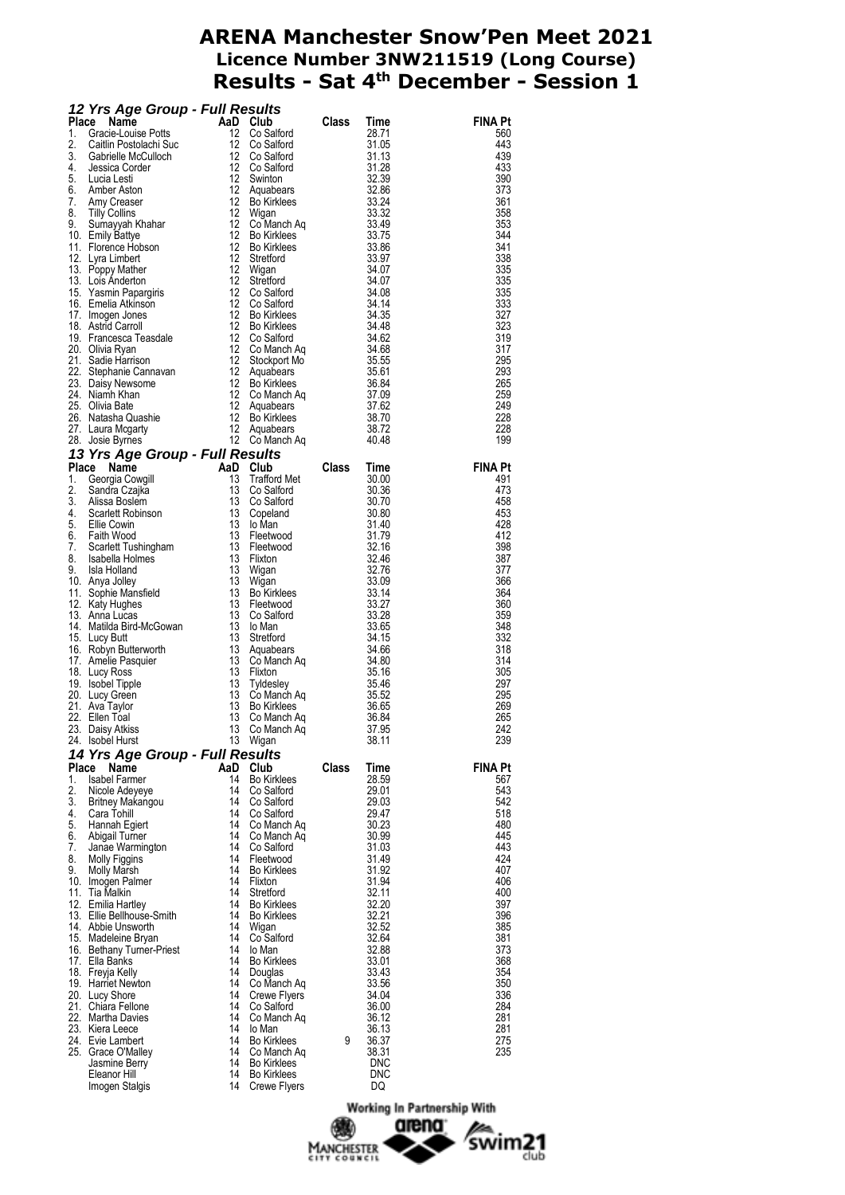|          | 12 Yrs Age Group - Full Results<br>Place Name Club Class Time<br>1. Gracie-Louise Potts<br>2. Califin Postolachi Suc<br>12 Co Salford 31.13<br>3. Gabrielle McGulloh<br>4. Jessica Corder 12 Co Salford 31.13<br>4. Jessica Corder 12 Co Sal |          |                             |              |                |                |
|----------|----------------------------------------------------------------------------------------------------------------------------------------------------------------------------------------------------------------------------------------------|----------|-----------------------------|--------------|----------------|----------------|
|          |                                                                                                                                                                                                                                              |          |                             |              |                | <b>FINA Pt</b> |
|          |                                                                                                                                                                                                                                              |          |                             |              |                | 560            |
|          |                                                                                                                                                                                                                                              |          |                             |              |                | 443            |
|          |                                                                                                                                                                                                                                              |          |                             |              |                | 439            |
|          |                                                                                                                                                                                                                                              |          |                             |              |                | 433            |
|          |                                                                                                                                                                                                                                              |          |                             |              |                | 390<br>373     |
|          |                                                                                                                                                                                                                                              |          |                             |              |                | 361            |
|          |                                                                                                                                                                                                                                              |          |                             |              |                | 358            |
|          |                                                                                                                                                                                                                                              |          |                             |              |                | 353            |
|          |                                                                                                                                                                                                                                              |          |                             |              |                | 344            |
|          |                                                                                                                                                                                                                                              |          |                             |              |                | 341            |
|          |                                                                                                                                                                                                                                              |          |                             |              |                | 338            |
|          |                                                                                                                                                                                                                                              |          |                             |              |                | 335            |
|          |                                                                                                                                                                                                                                              |          |                             |              |                | 335            |
|          |                                                                                                                                                                                                                                              |          |                             |              |                | 335            |
|          |                                                                                                                                                                                                                                              |          |                             |              |                | 333            |
|          |                                                                                                                                                                                                                                              |          |                             |              |                | 327            |
|          |                                                                                                                                                                                                                                              |          |                             |              |                | 323            |
|          |                                                                                                                                                                                                                                              |          |                             |              |                | 319            |
|          |                                                                                                                                                                                                                                              |          |                             |              |                | 317            |
|          |                                                                                                                                                                                                                                              |          |                             |              |                | 295            |
|          |                                                                                                                                                                                                                                              |          |                             |              |                | 293            |
|          |                                                                                                                                                                                                                                              |          |                             |              |                | 265            |
|          |                                                                                                                                                                                                                                              |          |                             |              |                | 259            |
|          |                                                                                                                                                                                                                                              |          |                             |              |                | 249<br>228     |
|          |                                                                                                                                                                                                                                              |          |                             |              |                | 228            |
|          |                                                                                                                                                                                                                                              |          |                             |              |                | 199            |
|          |                                                                                                                                                                                                                                              |          |                             |              |                |                |
|          | 21. Latar Williams 12. Readers 12. Co Manch Aq. 448<br>28. Josie Byrnes 12. Co Manch Aq. 448<br>13. Yrs Age Group - Full Results 10.00<br>1. Georgia Cowgill 13. Trafford Met 30.00<br>1. Georgia Cowgill 13. Trafford Met 30.00<br>1. S     |          |                             |              |                |                |
|          |                                                                                                                                                                                                                                              |          |                             |              |                | <b>FINA Pt</b> |
|          |                                                                                                                                                                                                                                              |          |                             |              |                | 491            |
|          |                                                                                                                                                                                                                                              |          |                             |              |                | 473            |
|          |                                                                                                                                                                                                                                              |          |                             |              |                | 458            |
|          |                                                                                                                                                                                                                                              |          |                             |              |                | 453<br>428     |
|          |                                                                                                                                                                                                                                              |          |                             |              |                | 412            |
|          |                                                                                                                                                                                                                                              |          |                             |              |                | 398            |
|          |                                                                                                                                                                                                                                              |          |                             |              |                | 387            |
|          |                                                                                                                                                                                                                                              |          |                             |              |                | 377            |
|          |                                                                                                                                                                                                                                              |          |                             |              |                | 366            |
|          |                                                                                                                                                                                                                                              |          |                             |              |                | 364            |
|          |                                                                                                                                                                                                                                              |          |                             |              |                | 360            |
|          |                                                                                                                                                                                                                                              |          |                             |              |                | 359            |
|          |                                                                                                                                                                                                                                              |          |                             |              |                | 348            |
|          |                                                                                                                                                                                                                                              |          |                             |              |                | 332            |
|          |                                                                                                                                                                                                                                              |          |                             |              |                | 318            |
|          |                                                                                                                                                                                                                                              |          |                             |              |                | 314            |
|          |                                                                                                                                                                                                                                              |          |                             |              |                | 305            |
|          |                                                                                                                                                                                                                                              |          |                             |              |                | 297            |
|          |                                                                                                                                                                                                                                              |          |                             |              |                | 295            |
|          |                                                                                                                                                                                                                                              |          |                             |              |                | 269            |
|          |                                                                                                                                                                                                                                              |          |                             |              |                | 265            |
|          |                                                                                                                                                                                                                                              |          |                             | 38.11        |                | 242<br>239     |
|          |                                                                                                                                                                                                                                              |          |                             |              |                |                |
|          | 14 Yrs Age Group - Full Results                                                                                                                                                                                                              |          |                             |              |                |                |
| Place    | Name                                                                                                                                                                                                                                         | AaD Club |                             | <b>Class</b> | Time           | <b>FINA Pt</b> |
| 1.       | Isabel Farmer                                                                                                                                                                                                                                | 14       | <b>Bo Kirklees</b>          |              | 28.59          | 567            |
| 2.<br>3. | Nicole Adeyeye<br>Britney Makangou                                                                                                                                                                                                           | 14       | 14 Co Salford<br>Co Salford |              | 29.01<br>29.03 | 543<br>542     |
|          | 4. Cara Tohill                                                                                                                                                                                                                               |          | 14 Co Salford               |              | 29.47          | 518            |
|          | 5. Hannah Egiert                                                                                                                                                                                                                             |          | 14 Co Manch Aq              |              | 30.23          | 480            |
|          | 6. Abigail Turner                                                                                                                                                                                                                            | 14       | Co Manch Aq                 |              | 30.99          | 445            |
|          | 7. Janae Warmington                                                                                                                                                                                                                          | 14       | Co Salford                  |              | 31.03          | 443            |
|          | 8. Molly Figgins                                                                                                                                                                                                                             |          | 14 Fleetwood                |              | 31.49          | 424            |
|          | 9. Molly Marsh                                                                                                                                                                                                                               | 14       | <b>Bo Kirklees</b>          |              | 31.92          | 407            |
|          | 10. Imogen Palmer                                                                                                                                                                                                                            | 14       | Flixton                     |              | 31.94          | 406            |
|          | 11. Tia Malkin                                                                                                                                                                                                                               | 14       | Stretford                   |              | 32.11          | 400            |
|          | 12. Emilia Hartley                                                                                                                                                                                                                           | 14       | Bo Kirklees                 |              | 32.20          | 397            |
|          | 13. Ellie Bellhouse-Smith                                                                                                                                                                                                                    |          | 14 Bo Kirklees              |              | 32.21          | 396            |
|          | 14. Abbie Unsworth                                                                                                                                                                                                                           |          | 14 Wigan                    |              | 32.52          | 385            |
|          | 15. Madeleine Bryan                                                                                                                                                                                                                          | 14       | Co Salford                  |              | 32.64          | 381            |
|          | 16. Bethany Turner-Priest                                                                                                                                                                                                                    | 14       | lo Man                      |              | 32.88          | 373            |
|          | 17. Ella Banks                                                                                                                                                                                                                               |          | 14 Bo Kirklees              |              | 33.01          | 368            |
|          | 18. Freyja Kelly                                                                                                                                                                                                                             | 14       | Douglas                     |              | 33.43          | 354            |
|          | 19. Harriet Newton                                                                                                                                                                                                                           | 14<br>14 | Co Manch Aq                 |              | 33.56          | 350<br>336     |
|          | 20. Lucy Shore<br>21. Chiara Fellone                                                                                                                                                                                                         | 14       | Crewe Flyers<br>Co Salford  |              | 34.04<br>36.00 | 284            |
|          | 22. Martha Davies                                                                                                                                                                                                                            | 14       | Co Manch Ag                 |              | 36.12          | 281            |
|          | 23. Kiera Leece                                                                                                                                                                                                                              | 14       | lo Man                      |              | 36.13          | 281            |
|          | 24. Evie Lambert                                                                                                                                                                                                                             | 14       | Bo Kirklees                 | 9            | 36.37          | 275            |
|          | 25. Grace O'Malley                                                                                                                                                                                                                           | 14       | Co Manch Aq                 |              | 38.31          | 235            |
|          | Jasmine Berry                                                                                                                                                                                                                                |          | 14 Bo Kirklees              |              | DNC            |                |
|          | Eleanor Hill                                                                                                                                                                                                                                 | 14       | <b>Bo Kirklees</b>          |              | <b>DNC</b>     |                |
|          | Imogen Stalgis                                                                                                                                                                                                                               |          | 14 Crewe Flyers             |              | DQ             |                |

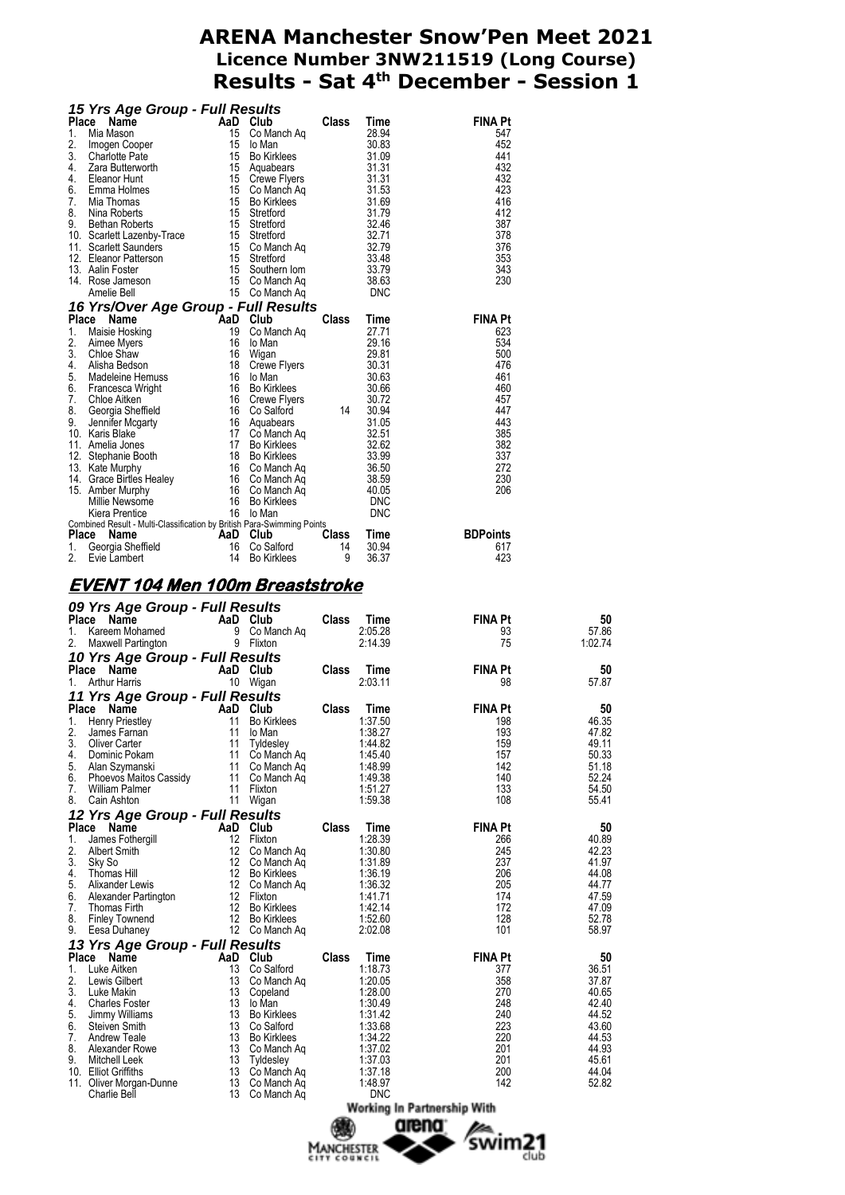|             | 15 Yrs Age Group - Full Results                                                                                                                                                                                                                                                         |          |                                           |              |                       |                       |                |
|-------------|-----------------------------------------------------------------------------------------------------------------------------------------------------------------------------------------------------------------------------------------------------------------------------------------|----------|-------------------------------------------|--------------|-----------------------|-----------------------|----------------|
|             |                                                                                                                                                                                                                                                                                         |          |                                           |              |                       | <b>FINA Pt</b>        |                |
|             |                                                                                                                                                                                                                                                                                         |          |                                           |              |                       | 547<br>452            |                |
|             |                                                                                                                                                                                                                                                                                         |          |                                           |              |                       | 441                   |                |
|             |                                                                                                                                                                                                                                                                                         |          |                                           |              |                       | 432                   |                |
|             |                                                                                                                                                                                                                                                                                         |          |                                           |              |                       | 432                   |                |
|             |                                                                                                                                                                                                                                                                                         |          |                                           |              |                       | 423<br>416            |                |
|             |                                                                                                                                                                                                                                                                                         |          |                                           |              |                       | 412                   |                |
|             |                                                                                                                                                                                                                                                                                         |          |                                           |              |                       | 387                   |                |
|             |                                                                                                                                                                                                                                                                                         |          |                                           |              |                       | 378                   |                |
|             |                                                                                                                                                                                                                                                                                         |          |                                           |              |                       | 376<br>353            |                |
|             |                                                                                                                                                                                                                                                                                         |          |                                           |              |                       | 343                   |                |
|             |                                                                                                                                                                                                                                                                                         |          |                                           |              |                       | 230                   |                |
|             | 15 Yrs Age Group - Full Results<br>1. Mia Mason<br>2. Imogen Cooper<br>2. Scharch Pate<br>1. Mia Mason<br>2. Imogen Cooper<br>15 Co Manch Aq<br>15 Co Manch Aq<br>16 Bo Kirklees<br>4. Zara Butterworth<br>15 Growe Flyers<br>16 Emma Holmes<br>15 Cre                                  |          |                                           |              |                       |                       |                |
|             | 16 Yrs/Over Age Group - Full Results<br><b>16 Yrs/Over Age Group - Full Results</b><br>1. Maisie Hosking 19 Co Manch Aq<br>1. Maisie Hosking 19 Co Manch Aq<br>2. Alime Myers 16 lo Man<br>3. Chloe Shaw 16 Wigan 29.81<br>4. Alisha Bedson 18 Crewe Flyers 30.31<br>5. Madeleine Hermu |          |                                           |              |                       |                       |                |
|             |                                                                                                                                                                                                                                                                                         |          |                                           |              |                       | <b>FINA Pt</b><br>623 |                |
|             |                                                                                                                                                                                                                                                                                         |          |                                           |              |                       | 534                   |                |
|             |                                                                                                                                                                                                                                                                                         |          |                                           |              |                       | 500                   |                |
|             |                                                                                                                                                                                                                                                                                         |          |                                           |              |                       | 476                   |                |
|             |                                                                                                                                                                                                                                                                                         |          |                                           |              |                       | 461                   |                |
|             |                                                                                                                                                                                                                                                                                         |          |                                           |              |                       | 460<br>457            |                |
|             |                                                                                                                                                                                                                                                                                         |          |                                           |              |                       | 447                   |                |
|             |                                                                                                                                                                                                                                                                                         |          |                                           |              |                       | 443                   |                |
|             |                                                                                                                                                                                                                                                                                         |          |                                           |              |                       | 385                   |                |
|             |                                                                                                                                                                                                                                                                                         |          |                                           |              |                       | 382                   |                |
|             |                                                                                                                                                                                                                                                                                         |          |                                           |              |                       | 337<br>272            |                |
|             |                                                                                                                                                                                                                                                                                         |          |                                           |              |                       | 230                   |                |
|             |                                                                                                                                                                                                                                                                                         |          |                                           |              |                       | 206                   |                |
|             |                                                                                                                                                                                                                                                                                         |          |                                           |              |                       |                       |                |
|             |                                                                                                                                                                                                                                                                                         |          |                                           |              |                       |                       |                |
|             | Place Name Construction of AaD Club<br>1. Georgia Sheffield<br>2. Evie Lambert 14 Bo Kirklees 9 36.37                                                                                                                                                                                   |          |                                           |              |                       | <b>BDPoints</b>       |                |
|             |                                                                                                                                                                                                                                                                                         |          |                                           |              |                       | 617                   |                |
|             |                                                                                                                                                                                                                                                                                         |          |                                           |              |                       | 423                   |                |
|             |                                                                                                                                                                                                                                                                                         |          |                                           |              |                       |                       |                |
|             |                                                                                                                                                                                                                                                                                         |          |                                           | <b>Class</b> | Time<br>2:05.28       | <b>FINA Pt</b><br>93  | 50<br>57.86    |
|             | <b>09 Yrs Age Group - Full Results<br/> Place Name AaD Club<br/> 1. Kareem Mohamed 9 Co Manch Aq<br/> 2. Maxwell Partington 9 Flixton</b>                                                                                                                                               |          |                                           |              | 2:14.39               | 75                    | 1:02.74        |
|             |                                                                                                                                                                                                                                                                                         |          |                                           |              |                       | <b>FINA Pt</b>        | 50             |
|             |                                                                                                                                                                                                                                                                                         |          |                                           |              |                       | 98                    | 57.87          |
|             | <b>10 Yrs Age Group - Full Results<br/> Place Name AaD Club Class Time</b><br>1. Arthur Harris 1. And Migan                                                                                                                                                                             |          |                                           |              |                       |                       |                |
|             |                                                                                                                                                                                                                                                                                         |          |                                           |              | Time                  | <b>FINA Pt</b>        | 50             |
|             |                                                                                                                                                                                                                                                                                         |          |                                           |              | 1:37.50               | 198                   | 46.35          |
| 3.          | <b>11 Yrs Age Group - Full Results<br/> Place Name AaD Club Class<br/> 1. Henry Priestley 11 Bo Kirklees<br/> 2. James Farnan 11 Io Man</b><br><b>Oliver Carter</b>                                                                                                                     | 11       | Tyldesley                                 |              | 1:38.27<br>1:44.82    | 193<br>159            | 47.82<br>49.11 |
| 4.          | Dominic Pokam                                                                                                                                                                                                                                                                           | 11       | Co Manch Aq                               |              | 1:45.40               | 157                   | 50.33          |
| 5.          | Alan Szymanski                                                                                                                                                                                                                                                                          | 11       | Co Manch Ag                               |              | 1:48.99               | 142                   | 51.18          |
| 6.          | Phoevos Maitos Cassidy                                                                                                                                                                                                                                                                  | 11       | Co Manch Aq                               |              | 1:49.38               | 140                   | 52.24          |
| 7.          | <b>William Palmer</b><br>Cain Ashton                                                                                                                                                                                                                                                    | 11<br>11 | Flixton                                   |              | 1:51.27<br>1:59.38    | 133<br>108            | 54.50<br>55.41 |
|             |                                                                                                                                                                                                                                                                                         |          | Wigan                                     |              |                       |                       |                |
| 8.<br>Place | 12 Yrs Age Group - Full Results<br>Name                                                                                                                                                                                                                                                 |          | AaD Club                                  | Class        | Time                  | <b>FINA Pt</b>        | 50             |
| 1.          | James Fothergill                                                                                                                                                                                                                                                                        |          | 12 Flixton                                |              | 1:28.39               | 266                   | 40.89          |
| 2.          | Albert Smith                                                                                                                                                                                                                                                                            | 12       | Co Manch Aq                               |              | 1:30.80               | 245                   | 42.23          |
| 3.          | Sky So                                                                                                                                                                                                                                                                                  | 12       | Co Manch Ag                               |              | 1:31.89               | 237                   | 41.97          |
| 4.<br>5.    | Thomas Hill<br><b>Alixander Lewis</b>                                                                                                                                                                                                                                                   | 12<br>12 | <b>Bo Kirklees</b><br>Co Manch Aq         |              | 1:36.19<br>1:36.32    | 206<br>205            | 44.08<br>44.77 |
| 6.          | Alexander Partington                                                                                                                                                                                                                                                                    | 12       | Flixton                                   |              | 1:41.71               | 174                   | 47.59          |
| 7.          | Thomas Firth                                                                                                                                                                                                                                                                            |          | 12 Bo Kirklees                            |              | 1:42.14               | 172                   | 47.09          |
| 8.          | <b>Finley Townend</b>                                                                                                                                                                                                                                                                   | 12       | <b>Bo Kirklees</b>                        |              | 1:52.60               | 128                   | 52.78          |
|             | Eesa Duhaney                                                                                                                                                                                                                                                                            |          | 12 Co Manch Aq                            |              | 2:02.08               | 101                   | 58.97          |
| 9.          | 13 Yrs Age Group - Full Results<br>Place Name                                                                                                                                                                                                                                           |          | AaD Club                                  | Class        |                       | <b>FINA Pt</b>        |                |
| 1.          | Luke Aitken                                                                                                                                                                                                                                                                             | 13       | Co Salford                                |              | Time<br>1:18.73       | 377                   | 50<br>36.51    |
| 2.          | Lewis Gilbert                                                                                                                                                                                                                                                                           | 13       | Co Manch Aq                               |              | 1:20.05               | 358                   | 37.87          |
| 3.          | Luke Makin                                                                                                                                                                                                                                                                              | 13       | Copeland                                  |              | 1:28.00               | 270                   | 40.65          |
| 4.<br>5.    | <b>Charles Foster</b><br>Jimmy Williams                                                                                                                                                                                                                                                 | 13<br>13 | lo Man<br><b>Bo Kirklees</b>              |              | 1:30.49<br>1:31.42    | 248<br>240            | 42.40<br>44.52 |
| 6.          | Steiven Smith                                                                                                                                                                                                                                                                           | 13       | Co Salford                                |              | 1:33.68               | 223                   | 43.60          |
| 7.          | <b>Andrew Teale</b>                                                                                                                                                                                                                                                                     | 13       | <b>Bo Kirklees</b>                        |              | 1:34.22               | 220                   | 44.53          |
| 8.          | Alexander Rowe                                                                                                                                                                                                                                                                          | 13       | Co Manch Aq                               |              | 1:37.02               | 201                   | 44.93          |
| 9.          | Mitchell Leek<br>10. Elliot Griffiths                                                                                                                                                                                                                                                   | 13<br>13 | Tyldesley                                 |              | 1:37.03<br>1:37.18    | 201<br>200            | 45.61<br>44.04 |
|             | 11. Oliver Morgan-Dunne<br>Charlie Bell                                                                                                                                                                                                                                                 | 13<br>13 | Co Manch Aq<br>Co Manch Aq<br>Co Manch Aq |              | 1:48.97<br><b>DNC</b> | 142                   | 52.82          |

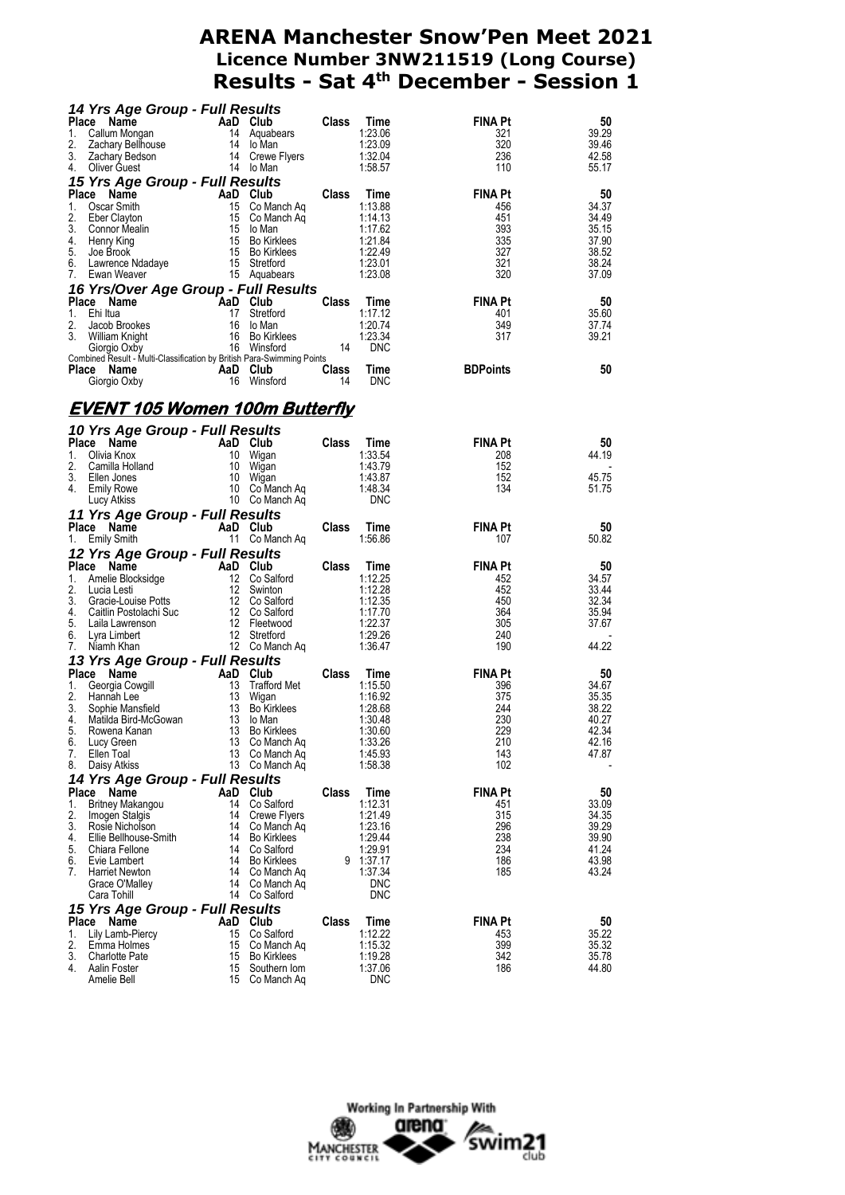|             | 14 Yrs Age Group - Full Results                                        |                           |                                                                 |              |                       |                       |                |
|-------------|------------------------------------------------------------------------|---------------------------|-----------------------------------------------------------------|--------------|-----------------------|-----------------------|----------------|
|             | Place<br>Name                                                          | AaD Club                  |                                                                 | <b>Class</b> | Time                  | <b>FINA Pt</b>        | 50             |
| 1.          | Callum Mongan                                                          |                           | 14 Aquabears                                                    |              | 1:23.06               | 321                   | 39.29          |
| 2.<br>3.    | Zachary Bellhouse<br>Zachary Bedson                                    |                           | 14 lo Man<br>14 Crewe Flyers                                    |              | 1:23.09<br>1:32.04    | 320<br>236            | 39.46<br>42.58 |
| 4.          | Oliver Guest                                                           |                           | 14 lo Man                                                       |              | 1:58.57               | 110                   | 55.17          |
|             | 15 Yrs Age Group - Full Results                                        |                           |                                                                 |              |                       |                       |                |
| Place       | Name                                                                   |                           | AaD Club                                                        | Class        | Time                  | <b>FINA Pt</b>        | 50             |
| 1.          | Oscar Smith                                                            | 15                        | Co Manch Aq                                                     |              | 1:13.88               | 456                   | 34.37          |
| 2.          | Eber Clayton                                                           |                           | 15 Co Manch Aq                                                  |              | 1:14.13               | 451                   | 34.49          |
| 3.<br>4.    | Connor Mealin<br>Henry King                                            |                           | 15 lo Man<br>15 Bo Kirklees                                     |              | 1:17.62<br>1:21.84    | 393<br>335            | 35.15<br>37.90 |
| 5.          | Joe Brook                                                              |                           | 15 Bo Kirklees                                                  |              | 1:22.49               | 327                   | 38.52          |
| 6.          | Lawrence Ndadaye                                                       |                           | 15 Stretford                                                    |              | 1:23.01               | 321                   | 38.24          |
| 7.          | Ewan Weaver                                                            |                           | 15 Aquabears                                                    |              | 1:23.08               | 320                   | 37.09          |
|             | 16 Yrs/Over Age Group - Full Results                                   |                           |                                                                 |              |                       |                       |                |
| 1.          | Place Name<br>Ehi Itua                                                 | AaD Club<br>17            |                                                                 | <b>Class</b> | Time                  | <b>FINA Pt</b>        | 50             |
| 2.          | Jacob Brookes                                                          | 16                        | Stretford<br>lo Man                                             |              | 1:17.12<br>1:20.74    | 401<br>349            | 35.60<br>37.74 |
| 3.          | William Knight                                                         |                           | 16 Bo Kirklees                                                  |              | 1:23.34               | 317                   | 39.21          |
|             | Giorgio Oxby                                                           |                           | 16 Winsford                                                     | - 14         | <b>DNC</b>            |                       |                |
|             | Combined Result - Multi-Classification by British Para-Swimming Points |                           |                                                                 | <b>Class</b> | Time                  | <b>BDPoints</b>       | 50             |
|             | Place Name<br>Giorgio Oxby                                             | AaD Club<br>16 Winsford   |                                                                 | 14           | <b>DNC</b>            |                       |                |
|             |                                                                        |                           |                                                                 |              |                       |                       |                |
|             | <b>EVENT 105 Women 100m Butterfly</b>                                  |                           |                                                                 |              |                       |                       |                |
|             |                                                                        |                           |                                                                 |              |                       |                       |                |
|             | 10 Yrs Age Group - Full Results                                        |                           |                                                                 |              |                       |                       |                |
|             | Place Name                                                             |                           | AaD Club                                                        | <b>Class</b> | Time                  | <b>FINA Pt</b>        | 50             |
| 1.<br>2.    | Olivia Knox<br>Camilla Holland                                         | 10 Wigan                  | 10 Wigan                                                        |              | 1:33.54<br>1:43.79    | 208<br>152            | 44.19          |
| 3.          | Ellen Jones                                                            |                           | 10 Wigan                                                        |              | 1:43.87               | 152                   | 45.75          |
| 4.          | Emily Rowe                                                             |                           | 10 Co Manch Aq                                                  |              | 1:48.34               | 134                   | 51.75          |
|             | Lucy Atkiss                                                            |                           | 10 Co Manch Aq                                                  |              | <b>DNC</b>            |                       |                |
|             | 11 Yrs Age Group - Full Results                                        |                           |                                                                 |              |                       |                       |                |
| Place<br>1. | Name<br><b>Emily Smith</b>                                             |                           | AaD Club<br>11 Co Manch Aq                                      | Class        | Time<br>1:56.86       | <b>FINA Pt</b><br>107 | 50<br>50.82    |
|             |                                                                        |                           |                                                                 |              |                       |                       |                |
|             | 12 Yrs Age Group - Full Results                                        |                           |                                                                 |              |                       |                       |                |
|             |                                                                        |                           |                                                                 |              |                       |                       |                |
|             | Place Name                                                             | <b>Example 2</b> AaD Club |                                                                 | <b>Class</b> | Time                  | <b>FINA Pt</b>        | 50             |
| 1.<br>2.    | Amelie Blocksidge<br>Lucia Lesti                                       |                           | 12 Co Salford<br>12 Swinton                                     |              | 1:12.25<br>1:12.28    | 452<br>452            | 34.57<br>33.44 |
| 3.          | Gracie-Louise Potts                                                    |                           | 12 Co Salford                                                   |              | 1:12.35               | 450                   | 32.34          |
| 4.          | Caitlin Postolachi Suc                                                 |                           |                                                                 |              | 1:17.70               | 364                   | 35.94          |
| 5.          | Laila Lawrenson                                                        |                           |                                                                 |              | 1:22.37               | 305                   | 37.67          |
| 6.<br>7.    | Lyra Limbert<br>Niamh Khan                                             |                           |                                                                 |              | 1:29.26<br>1:36.47    | 240<br>190            | 44.22          |
|             |                                                                        |                           | 12 Co Saltord<br>12 Fleetwood<br>12 Stretford<br>12 Co Manch Aq |              |                       |                       |                |
| Place       | 13 Yrs Age Group - Full Results<br>Name                                |                           |                                                                 | Class        | Time                  | <b>FINA Pt</b>        | 50             |
| 1.          | Georgia Cowgill                                                        | AaD Club<br>13            | <b>Trafford Met</b>                                             |              | 1:15.50               | 396                   | 34.67          |
| 2.          | Hannah Lee                                                             | 13                        | Wigan                                                           |              | 1:16.92               | 375                   | 35.35          |
| 3.          | Sophie Mansfield                                                       |                           | 13 Bo Kirklees                                                  |              | 1:28.68               | 244                   | 38.22          |
| 4.<br>5.    | Matilda Bird-McGowan<br>Rowena Kanan                                   |                           | 13 lo Man<br>13 Bo Kirklees                                     |              | 1:30.48<br>1:30.60    | 230<br>229            | 40.27<br>42.34 |
| 6.          | Lucy Green                                                             | 13                        | Co Manch Aq                                                     |              | 1:33.26               | 210                   | 42.16          |
| 7.          | Ellen Toal                                                             | 13                        | Co Manch Ag                                                     |              | 1:45.93               | 143                   | 47.87          |
| 8.          | Daisy Atkiss                                                           |                           | 13 Co Manch Ag                                                  |              | 1:58.38               | 102                   |                |
|             | 14 Yrs Age Group - Full Results                                        |                           |                                                                 |              |                       |                       |                |
| Place       | Name                                                                   |                           | AaD Club                                                        | Class        | Time                  | <b>FINA Pt</b>        | 50             |
| 1.<br>2.    | <b>Britney Makangou</b><br>Imogen Stalgis                              | 14<br>14                  | Co Salford<br>Crewe Flyers                                      |              | 1:12.31<br>1:21.49    | 451<br>315            | 33.09<br>34.35 |
| 3.          | Rosie Nicholson                                                        |                           | 14 Co Manch Aq                                                  |              | 1:23.16               | 296                   | 39.29          |
| 4.          | Ellie Bellhouse-Smith                                                  |                           | 14 Bo Kirklees                                                  |              | 1:29.44               | 238                   | 39.90          |
| 5.          | Chiara Fellone                                                         |                           | 14 Co Salford                                                   | 9            | 1:29.91               | 234                   | 41.24          |
| 6.<br>7.    | Evie Lambert<br><b>Harriet Newton</b>                                  | 14<br>14                  | <b>Bo Kirklees</b><br>Co Manch Aq                               |              | 1:37.17<br>1:37.34    | 186<br>185            | 43.98<br>43.24 |
|             | Grace O'Malley                                                         |                           | 14 Co Manch Aq                                                  |              | <b>DNC</b>            |                       |                |
|             | Cara Tohill                                                            | 14                        | Co Salford                                                      |              | <b>DNC</b>            |                       |                |
|             | 15 Yrs Age Group - Full Results                                        |                           |                                                                 |              |                       |                       |                |
|             | Place Name                                                             |                           | AaD Club                                                        | Class        | Time                  | FINA Pt               | 50             |
| 1.<br>2.    | Lily Lamb-Piercy<br>Emma Holmes                                        | 15<br>15                  | Co Salford                                                      |              | 1:12.22<br>1:15.32    | 453<br>399            | 35.22<br>35.32 |
| 3.          | <b>Charlotte Pate</b>                                                  | 15                        | Co Manch Ag<br>Bo Kirklees                                      |              | 1:19.28               | 342                   | 35.78          |
| 4.          | Aalin Foster<br>Amelie Bell                                            | 15                        | Southern Iom<br>15 Co Manch Aq                                  |              | 1:37.06<br><b>DNC</b> | 186                   | 44.80          |

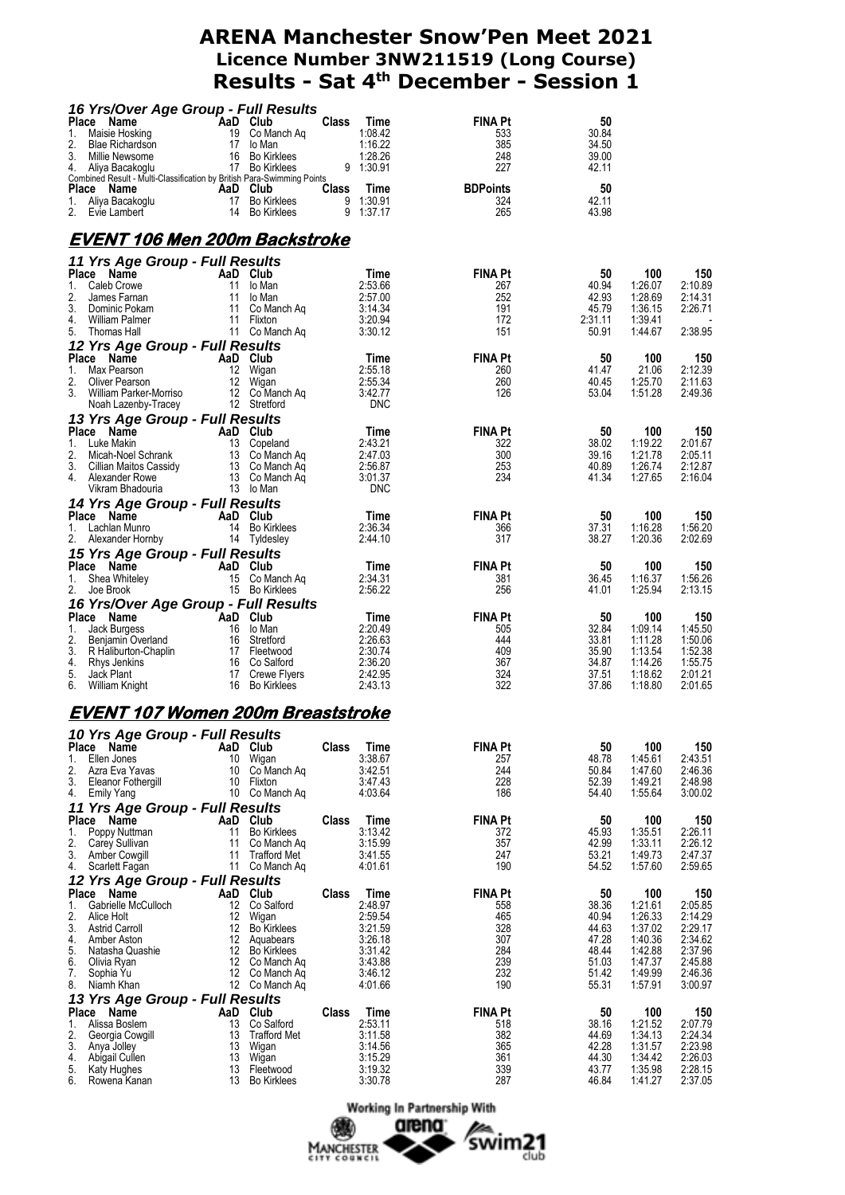| 16 Yrs/Over Age Group - Full Results                                                         |           |                                   |              |                       |                       |                |                    |                    |
|----------------------------------------------------------------------------------------------|-----------|-----------------------------------|--------------|-----------------------|-----------------------|----------------|--------------------|--------------------|
| Place Name<br>1.<br>Maisie Hosking                                                           | AaD Club  | 19 Co Manch Aq                    | <b>Class</b> | Time<br>1:08.42       | <b>FINA Pt</b><br>533 | 50<br>30.84    |                    |                    |
| 2.<br>Blae Richardson                                                                        |           | 17 lo Man                         |              | 1:16.22               | 385                   | 34.50          |                    |                    |
| 3. Millie Newsome                                                                            |           | 16 Bo Kirklees                    |              | 1:28.26               | 248                   | 39.00          |                    |                    |
| 4. Aliya Bacakoglu<br>Combined Result - Multi-Classification by British Para-Swimming Points |           | 17 Bo Kirklees                    |              | 9 1:30.91             | 227                   | 42.11          |                    |                    |
| Place Name                                                                                   | AaD Club  |                                   | Class        | Time                  | <b>BDPoints</b>       | 50             |                    |                    |
|                                                                                              |           |                                   |              | 9 1:30.91             | 324                   | 42.11          |                    |                    |
|                                                                                              |           |                                   |              | 9 1:37.17             | 265                   | 43.98          |                    |                    |
| <u>EVENT 106 Men 200m Backstroke</u>                                                         |           |                                   |              |                       |                       |                |                    |                    |
| 11 Yrs Age Group - Full Results                                                              |           |                                   |              |                       |                       |                |                    |                    |
| Place Name                                                                                   |           | AaD Club                          |              | Time                  | <b>FINA Pt</b>        | 50             | 100                | 150                |
| Caleb Crowe<br>1.                                                                            |           | 11 lo Man                         |              | 2:53.66               | 267                   | 40.94          | 1:26.07            | 2:10.89            |
| 2.<br>James Farnan<br>3.<br>Dominic Pokam                                                    |           | 11 lo Man<br>11 Co Manch Ag       |              | 2:57.00<br>3:14.34    | 252<br>191            | 42.93<br>45.79 | 1:28.69<br>1:36.15 | 2:14.31<br>2:26.71 |
| William Palmer<br>4.                                                                         |           | 11 Flixton                        |              | 3:20.94               | 172                   | 2:31.11        | 1:39.41            |                    |
| 5.<br>Thomas Hall                                                                            |           | 11 Co Manch Ag                    |              | 3:30.12               | 151                   | 50.91          | 1:44.67            | 2:38.95            |
| 12 Yrs Age Group - Full Results<br>Place Name                                                |           | AaD Club                          |              | Time                  | <b>FINA Pt</b>        | 50             | 100                | 150                |
| 1. Max Pearson                                                                               |           | 12 Wigan                          |              | 2:55.18               | 260                   | 41.47          | 21.06              | 2:12.39            |
| 2.<br>Oliver Pearson                                                                         |           | 12 Wigan                          |              | 2:55.34               | 260                   | 40.45          | 1:25.70            | 2:11.63            |
| 3.<br>William Parker-Morriso<br>Noah Lazenby-Tracey                                          |           | 12 Co Manch Ag<br>12 Stretford    |              | 3:42.77<br><b>DNC</b> | 126                   | 53.04          | 1:51.28            | 2:49.36            |
| 13 Yrs Age Group - Full Results                                                              |           |                                   |              |                       |                       |                |                    |                    |
| Place Name                                                                                   |           | AaD Club                          |              | Time                  | <b>FINA Pt</b>        | 50             | 100                | 150                |
| 1. Luke Makin                                                                                |           | 13 Copeland                       |              | 2:43.21               | 322                   | 38.02          | 1:19.22            | 2:01.67            |
| 2.<br>Micah-Noel Schrank<br>3.<br>Cillian Maitos Cassidy                                     |           | 13 Co Manch Ag<br>13 Co Manch Aq  |              | 2:47.03<br>2:56.87    | 300<br>253            | 39.16<br>40.89 | 1:21.78<br>1:26.74 | 2:05.11<br>2:12.87 |
| Alexander Rowe<br>4.                                                                         |           | 13 Co Manch Ag                    |              | 3:01.37               | 234                   | 41.34          | 1:27.65            | 2:16.04            |
| Vikram Bhadouria                                                                             |           | 13 lo Man                         |              | <b>DNC</b>            |                       |                |                    |                    |
| 14 Yrs Age Group - Full Results                                                              |           |                                   |              |                       |                       |                |                    |                    |
| Place Name<br>1. Lachlan Munro                                                               |           | AaD Club<br>14 Bo Kirklees        |              | Time<br>2:36.34       | <b>FINA Pt</b><br>366 | 50<br>37.31    | 100<br>1:16.28     | 150<br>1:56.20     |
| 2. Alexander Hornby                                                                          |           | 14 Tyldesley                      |              | 2:44.10               | 317                   | 38.27          | 1:20.36            | 2:02.69            |
| 15 Yrs Age Group - Full Results                                                              |           |                                   |              |                       |                       |                |                    |                    |
| Place Name                                                                                   |           | AaD Club                          |              | Time                  | <b>FINA Pt</b>        | 50             | 100                | 150                |
| 1. Shea Whiteley<br>2. Joe Brook                                                             |           | 15 Co Manch Ag<br>15 Bo Kirklees  |              | 2:34.31<br>2:56.22    | 381<br>256            | 36.45<br>41.01 | 1:16.37<br>1:25.94 | 1:56.26<br>2:13.15 |
| 16 Yrs/Over Age Group - Full Results                                                         |           |                                   |              |                       |                       |                |                    |                    |
| Place Name                                                                                   | AaD Club  |                                   |              | Time                  | <b>FINA Pt</b>        | 50             | 100                | 150                |
| 1. Jack Burgess                                                                              |           | 16 lo Man                         |              | 2:20.49               | 505                   | 32.84          | 1:09.14            | 1:45.50            |
| 2.<br>Benjamin Overland<br>3.<br>R Haliburton-Chaplin                                        |           | 16 Stretford<br>17 Fleetwood      |              | 2:26.63<br>2:30.74    | 444<br>409            | 33.81<br>35.90 | 1:11.28<br>1:13.54 | 1:50.06<br>1:52.38 |
| 4.<br>Rhys Jenkins                                                                           |           | 16 Co Salford                     |              | 2:36.20               | 367                   | 34.87          | 1:14.26            | 1:55.75            |
| 5.<br>Jack Plant                                                                             |           | 17 Crewe Flyers                   |              | 2:42.95               | 324                   | 37.51          | 1:18.62            | 2:01.21<br>2:01.65 |
| 6.<br>William Knight                                                                         |           | 16 Bo Kirklees                    |              | 2:43.13               | 322                   | 37.86          | 1:18.80            |                    |
| <u>EVENT 107 Women 200m Breaststroke</u>                                                     |           |                                   |              |                       |                       |                |                    |                    |
| 10 Yrs Age Group - Full Results                                                              |           |                                   |              |                       |                       |                |                    |                    |
| Place Name<br>Ellen Jones<br>1.                                                              | AaD<br>10 | Club<br>Wigan                     | <b>Class</b> | Time<br>3:38.67       | <b>FINA Pt</b><br>257 | 50<br>48.78    | 100<br>1:45.61     | 150<br>2:43.51     |
| 2.<br>Azra Eva Yavas                                                                         |           | 10 Co Manch Ag                    |              | 3:42.51               | 244                   | 50.84          | 1:47.60            | 2:46.36            |
| 3.<br>Eleanor Fothergill                                                                     |           | 10 Flixton                        |              | 3:47.43               | 228                   | 52.39          | 1:49.21<br>1:55.64 | 2:48.98            |
| 4.<br>Emily Yang<br>11 Yrs Age Group - Full Results                                          |           | 10 Co Manch Aq                    |              | 4:03.64               | 186                   | 54.40          |                    | 3:00.02            |
| Place Name                                                                                   |           | AaD Club                          | Class        | Time                  | <b>FINA Pt</b>        | 50             | 100                | 150                |
| 1.<br>Poppy Nuttman                                                                          |           | 11 Bo Kirklees                    |              | 3:13.42               | 372                   | 45.93          | 1:35.51            | 2:26.11            |
| 2.<br>Carey Sullivan                                                                         | 11        | Co Manch Aq                       |              | 3:15.99               | 357                   | 42.99          | 1:33.11            | 2:26.12            |
| 3.<br>Amber Cowgill<br>4.<br>Scarlett Fagan                                                  |           | 11 Trafford Met<br>11 Co Manch Ag |              | 3:41.55<br>4:01.61    | 247<br>190            | 53.21<br>54.52 | 1:49.73<br>1:57.60 | 2:47.37<br>2:59.65 |
| 12 Yrs Age Group - Full Results                                                              |           |                                   |              |                       |                       |                |                    |                    |
| Place Name                                                                                   |           | AaD Club                          | <b>Class</b> | Time                  | <b>FINA Pt</b>        | 50             | 100                | 150                |
| Gabrielle McCulloch<br>1.<br>2.<br>Alice Holt                                                |           | 12 Co Salford<br>12 Wigan         |              | 2:48.97<br>2:59.54    | 558<br>465            | 38.36<br>40.94 | 1:21.61<br>1:26.33 | 2:05.85<br>2:14.29 |
| 3.<br><b>Astrid Carroll</b>                                                                  |           | 12 Bo Kirklees                    |              | 3:21.59               | 328                   | 44.63          | 1:37.02            | 2:29.17            |
| Amber Aston<br>4.                                                                            |           | 12 Aquabears                      |              | 3:26.18               | 307                   | 47.28          | 1:40.36            | 2:34.62            |
| 5.<br>Natasha Quashie<br>6.                                                                  |           | 12 Bo Kirklees<br>12 Co Manch Aq  |              | 3:31.42<br>3:43.88    | 284<br>239            | 48.44<br>51.03 | 1:42.88<br>1:47.37 | 2:37.96<br>2:45.88 |
| Olivia Ryan<br>7.<br>Sophia Yu                                                               |           | 12 Co Manch Ag                    |              | 3:46.12               | 232                   | 51.42          | 1:49.99            | 2:46.36            |
| 8.<br>Niamh Khan                                                                             |           | 12 Co Manch Ag                    |              | 4:01.66               | 190                   | 55.31          | 1:57.91            | 3:00.97            |
| 13 Yrs Age Group - Full Results                                                              |           |                                   |              |                       |                       |                |                    |                    |
| Place Name<br>Alissa Boslem<br>1.                                                            | 13        | AaD Club<br>Co Salford            | Class        | Time<br>2:53.11       | <b>FINA Pt</b><br>518 | 50<br>38.16    | 100<br>1:21.52     | 150<br>2:07.79     |
| 2.<br>Georgia Cowgill                                                                        |           | 13 Trafford Met                   |              | 3:11.58               | 382                   | 44.69          | 1:34.13            | 2:24.34            |
| 3.<br>Anya Jolley                                                                            | 13        | Wigan                             |              | 3:14.56               | 365                   | 42.28          | 1:31.57            | 2:23.98            |
| 4.<br>Abigail Cullen<br>5.<br>Katy Hughes                                                    | 13        | Wigan<br>13 Fleetwood             |              | 3:15.29<br>3:19.32    | 361<br>339            | 44.30<br>43.77 | 1:34.42<br>1:35.98 | 2:26.03<br>2:28.15 |
| 6.<br>Rowena Kanan                                                                           |           | 13 Bo Kirklees                    |              | 3:30.78               | 287                   | 46.84          | 1:41.27            | 2:37.05            |
|                                                                                              |           |                                   |              |                       |                       |                |                    |                    |